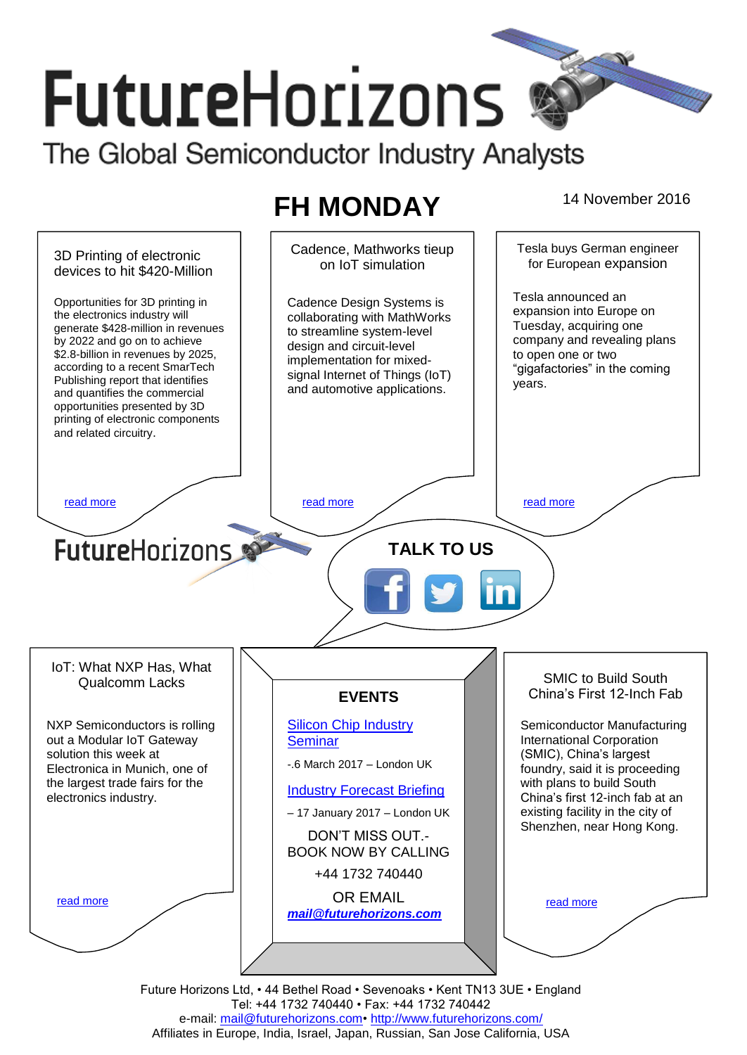# **FutureHorizons** The Global Semiconductor Industry Analysts

## FH MONDAY 14 November 2016

Cadence, Mathworks tieup Tesla buys German engineer 3D Printing of electronic on IoT simulation for European expansion devices to hit \$420-Million Tesla announced an Opportunities for 3D printing in Cadence Design Systems is expansion into Europe on the electronics industry will collaborating with MathWorks Tuesday, acquiring one generate \$428-million in revenues to streamline system-level company and revealing plans by 2022 and go on to achieve design and circuit-level \$2.8-billion in revenues by 2025, to open one or two implementation for mixedaccording to a recent SmarTech "gigafactories" in the coming signal Internet of Things (IoT) Publishing report that identifies years. and automotive applications. and quantifies the commercial opportunities presented by 3D printing of electronic components and related circuitry. [read more](#page-1-1) that the second contract the second contract of the read more that the read more that the read more **Future**Horizons **TALK TO US** IoT: What NXP Has, What SMIC to Build South Qualcomm Lacks China's First 12-Inch Fab **EVENTS** NXP Semiconductors is rolling [Silicon Chip Industry](http://www.futurehorizons.com/page/12/silicon-chip-training)  Semiconductor Manufacturing out a Modular IoT Gateway International Corporation **[Seminar](http://www.futurehorizons.com/page/12/silicon-chip-training)** (SMIC), China's largest solution this week at -.6 March 2017 – London UK Electronica in Munich, one of foundry, said it is proceeding the largest trade fairs for the with plans to build South [Industry Forecast Briefing](http://www.futurehorizons.com/page/13/Semiconductor-Market-Forecast-Seminar) electronics industry.China's first 12-inch fab at an existing facility in the city of – 17 January 2017 – London UK Shenzhen, near Hong Kong. DON'T MISS OUT.- BOOK NOW BY CALLING +44 1732 740440 OR EMAIL [read more](#page-1-3) [read more](#page-1-4) *[mail@futurehorizons.com](mailto:mail@futurehorizons.com)*

Future Horizons Ltd, • 44 Bethel Road • Sevenoaks • Kent TN13 3UE • England Tel: +44 1732 740440 • Fax: +44 1732 740442 e-mail: mail@futurehorizons.com• http://www.futurehorizons.com/ Affiliates in Europe, India, Israel, Japan, Russian, San Jose California, USA